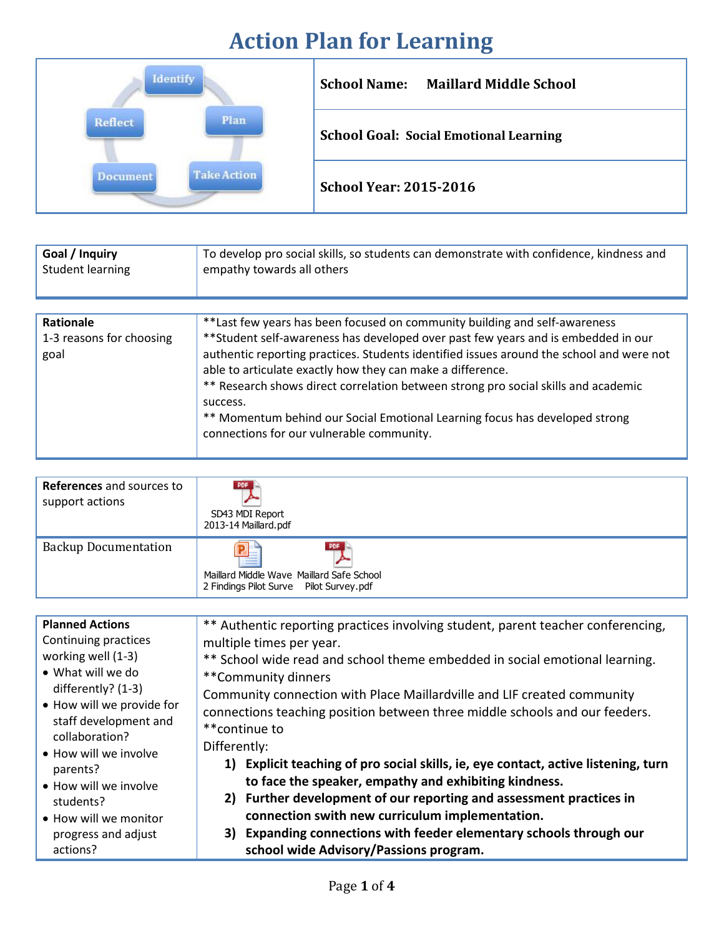## **Action Plan for Learning**



| Goal / Inquiry                                | To develop pro social skills, so students can demonstrate with confidence, kindness and                                                                                                                                                                                                                                                                                                                                                                                                                                                                  |
|-----------------------------------------------|----------------------------------------------------------------------------------------------------------------------------------------------------------------------------------------------------------------------------------------------------------------------------------------------------------------------------------------------------------------------------------------------------------------------------------------------------------------------------------------------------------------------------------------------------------|
| <b>Student learning</b>                       | empathy towards all others                                                                                                                                                                                                                                                                                                                                                                                                                                                                                                                               |
| Rationale<br>1-3 reasons for choosing<br>goal | **Last few years has been focused on community building and self-awareness<br>** Student self-awareness has developed over past few years and is embedded in our<br>authentic reporting practices. Students identified issues around the school and were not<br>able to articulate exactly how they can make a difference.<br>** Research shows direct correlation between strong pro social skills and academic<br>success.<br>** Momentum behind our Social Emotional Learning focus has developed strong<br>connections for our vulnerable community. |

| <b>References</b> and sources to<br>support actions | <b>PDF</b><br>SD43 MDI Report<br>2013-14 Maillard.pdf                                             |
|-----------------------------------------------------|---------------------------------------------------------------------------------------------------|
| <b>Backup Documentation</b>                         | PDF<br>⋍<br>Maillard Middle Wave Maillard Safe School<br>2 Findings Pilot Surve  Pilot Survey.pdf |

| <b>Planned Actions</b>                                                                                                                                                   | ** Authentic reporting practices involving student, parent teacher conferencing,                                                                                                                                                                                                                                                                                                      |  |  |
|--------------------------------------------------------------------------------------------------------------------------------------------------------------------------|---------------------------------------------------------------------------------------------------------------------------------------------------------------------------------------------------------------------------------------------------------------------------------------------------------------------------------------------------------------------------------------|--|--|
| Continuing practices                                                                                                                                                     | multiple times per year.                                                                                                                                                                                                                                                                                                                                                              |  |  |
| working well (1-3)                                                                                                                                                       | ** School wide read and school theme embedded in social emotional learning.                                                                                                                                                                                                                                                                                                           |  |  |
| • What will we do                                                                                                                                                        | **Community dinners                                                                                                                                                                                                                                                                                                                                                                   |  |  |
| differently? (1-3)                                                                                                                                                       | Community connection with Place Maillardville and LIF created community                                                                                                                                                                                                                                                                                                               |  |  |
| • How will we provide for<br>staff development and<br>collaboration?<br>• How will we involve<br>parents?<br>• How will we involve<br>students?<br>• How will we monitor | connections teaching position between three middle schools and our feeders.<br>**continue to<br>Differently:<br>1) Explicit teaching of pro social skills, ie, eye contact, active listening, turn<br>to face the speaker, empathy and exhibiting kindness.<br>2) Further development of our reporting and assessment practices in<br>connection swith new curriculum implementation. |  |  |
| progress and adjust                                                                                                                                                      | 3) Expanding connections with feeder elementary schools through our                                                                                                                                                                                                                                                                                                                   |  |  |
| actions?                                                                                                                                                                 | school wide Advisory/Passions program.                                                                                                                                                                                                                                                                                                                                                |  |  |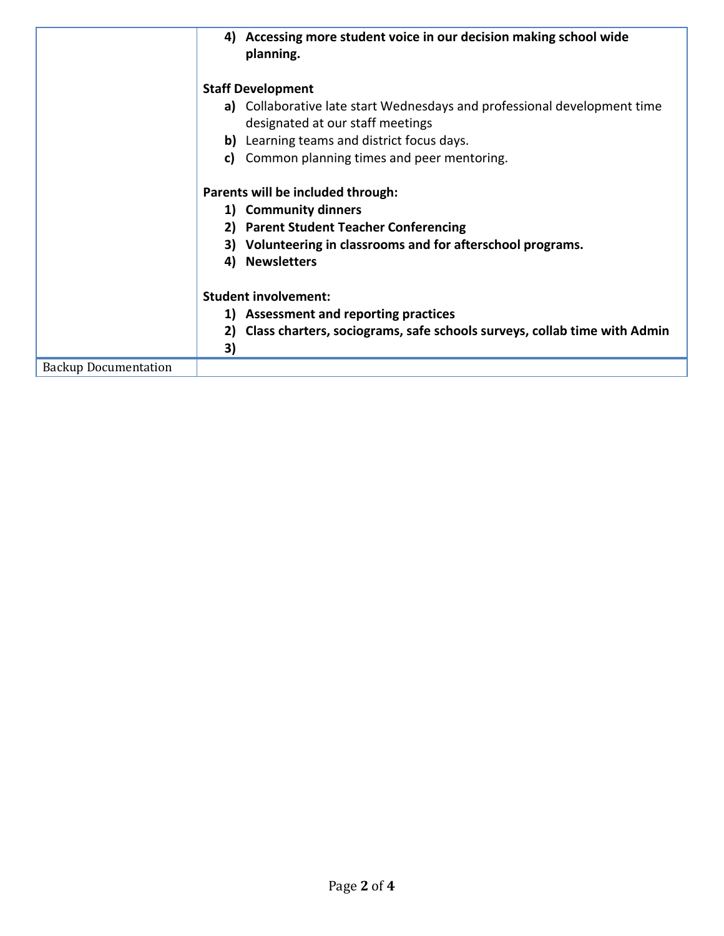|                             | Accessing more student voice in our decision making school wide<br>4)<br>planning. |  |  |
|-----------------------------|------------------------------------------------------------------------------------|--|--|
|                             | <b>Staff Development</b>                                                           |  |  |
|                             | a) Collaborative late start Wednesdays and professional development time           |  |  |
|                             | designated at our staff meetings                                                   |  |  |
|                             | Learning teams and district focus days.<br>b)                                      |  |  |
|                             | Common planning times and peer mentoring.<br>C)                                    |  |  |
|                             | Parents will be included through:                                                  |  |  |
|                             | 1) Community dinners                                                               |  |  |
|                             | <b>Parent Student Teacher Conferencing</b><br>2)                                   |  |  |
|                             | Volunteering in classrooms and for afterschool programs.<br>3)                     |  |  |
|                             | <b>Newsletters</b><br>4)                                                           |  |  |
|                             | <b>Student involvement:</b>                                                        |  |  |
|                             | <b>Assessment and reporting practices</b><br>1)                                    |  |  |
|                             | Class charters, sociograms, safe schools surveys, collab time with Admin<br>2)     |  |  |
|                             | 3)                                                                                 |  |  |
| <b>Backup Documentation</b> |                                                                                    |  |  |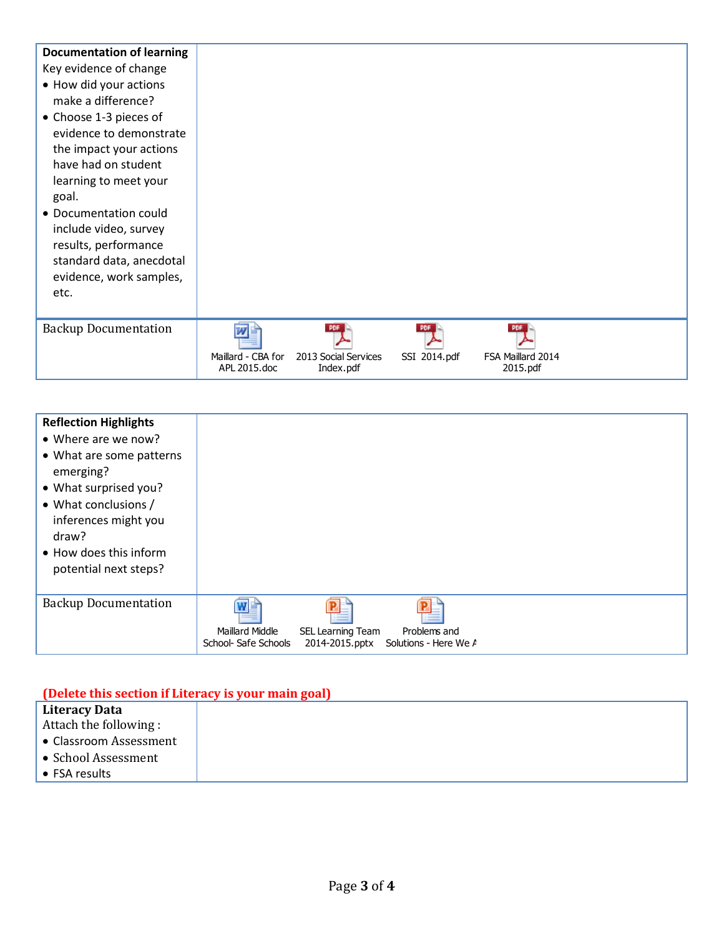| <b>Documentation of learning</b><br>Key evidence of change<br>• How did your actions<br>make a difference?<br>• Choose 1-3 pieces of<br>evidence to demonstrate<br>the impact your actions<br>have had on student<br>learning to meet your<br>goal.<br>• Documentation could<br>include video, survey<br>results, performance<br>standard data, anecdotal<br>evidence, work samples,<br>etc. |                                    |                                   |              |                               |  |
|----------------------------------------------------------------------------------------------------------------------------------------------------------------------------------------------------------------------------------------------------------------------------------------------------------------------------------------------------------------------------------------------|------------------------------------|-----------------------------------|--------------|-------------------------------|--|
| <b>Backup Documentation</b>                                                                                                                                                                                                                                                                                                                                                                  | Maillard - CBA for<br>APL 2015.doc | 2013 Social Services<br>Index.pdf | SSI 2014.pdf | FSA Maillard 2014<br>2015.pdf |  |

| <b>Reflection Highlights</b><br>• Where are we now?<br>• What are some patterns<br>emerging?<br>• What surprised you?<br>• What conclusions /<br>inferences might you<br>draw?<br>• How does this inform<br>potential next steps? |                                                |                   |                                                      |  |
|-----------------------------------------------------------------------------------------------------------------------------------------------------------------------------------------------------------------------------------|------------------------------------------------|-------------------|------------------------------------------------------|--|
| <b>Backup Documentation</b>                                                                                                                                                                                                       | <b>Maillard Middle</b><br>School- Safe Schools | SEL Learning Team | Problems and<br>2014-2015.pptx Solutions - Here We A |  |

|                        | (Delete this section if Literacy is your main goal) |  |
|------------------------|-----------------------------------------------------|--|
| <b>Literacy Data</b>   |                                                     |  |
| Attach the following:  |                                                     |  |
| • Classroom Assessment |                                                     |  |
| • School Assessment    |                                                     |  |
| $\bullet$ FSA results  |                                                     |  |